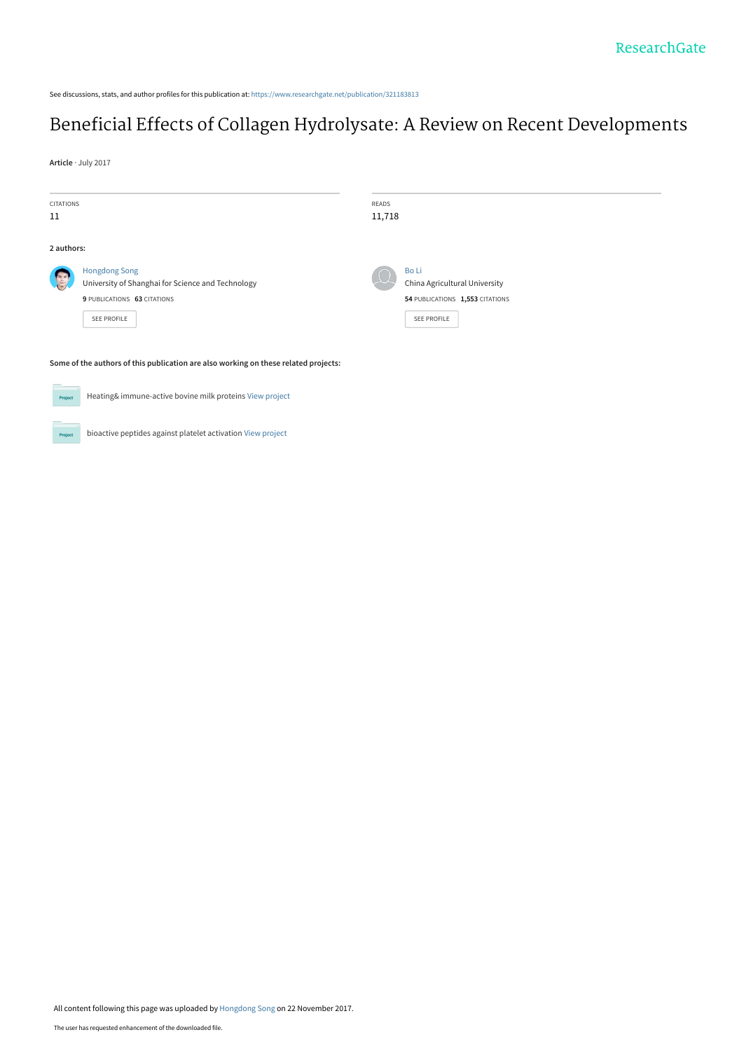See discussions, stats, and author profiles for this publication at: [https://www.researchgate.net/publication/321183813](https://www.researchgate.net/publication/321183813_Beneficial_Effects_of_Collagen_Hydrolysate_A_Review_on_Recent_Developments?enrichId=rgreq-7b9fd663ef1d948bb9303e50a090fefe-XXX&enrichSource=Y292ZXJQYWdlOzMyMTE4MzgxMztBUzo1NjMzMTQyNzc0NTM4MjRAMTUxMTMxNTk5NzUxNQ%3D%3D&el=1_x_2&_esc=publicationCoverPdf)

# [Beneficial Effects of Collagen Hydrolysate: A Review on Recent Developments](https://www.researchgate.net/publication/321183813_Beneficial_Effects_of_Collagen_Hydrolysate_A_Review_on_Recent_Developments?enrichId=rgreq-7b9fd663ef1d948bb9303e50a090fefe-XXX&enrichSource=Y292ZXJQYWdlOzMyMTE4MzgxMztBUzo1NjMzMTQyNzc0NTM4MjRAMTUxMTMxNTk5NzUxNQ%3D%3D&el=1_x_3&_esc=publicationCoverPdf)

**Article** · July 2017

| <b>CITATIONS</b>                                                                    |                                                   | READS  |                                 |
|-------------------------------------------------------------------------------------|---------------------------------------------------|--------|---------------------------------|
| 11                                                                                  |                                                   | 11,718 |                                 |
|                                                                                     |                                                   |        |                                 |
| 2 authors:                                                                          |                                                   |        |                                 |
|                                                                                     | <b>Hongdong Song</b>                              |        | Bo Li                           |
|                                                                                     | University of Shanghai for Science and Technology |        | China Agricultural University   |
|                                                                                     | 9 PUBLICATIONS 63 CITATIONS                       |        | 54 PUBLICATIONS 1,553 CITATIONS |
|                                                                                     | <b>SEE PROFILE</b>                                |        | SEE PROFILE                     |
|                                                                                     |                                                   |        |                                 |
|                                                                                     |                                                   |        |                                 |
| Some of the authors of this publication are also working on these related projects: |                                                   |        |                                 |
| Heating& immune-active bovine milk proteins View project<br>Project                 |                                                   |        |                                 |
|                                                                                     |                                                   |        |                                 |

bioactive peptides against platelet activation [View project](https://www.researchgate.net/project/bioactive-peptides-against-platelet-activation?enrichId=rgreq-7b9fd663ef1d948bb9303e50a090fefe-XXX&enrichSource=Y292ZXJQYWdlOzMyMTE4MzgxMztBUzo1NjMzMTQyNzc0NTM4MjRAMTUxMTMxNTk5NzUxNQ%3D%3D&el=1_x_9&_esc=publicationCoverPdf) **Project** 

All content following this page was uploaded by [Hongdong Song](https://www.researchgate.net/profile/Hongdong_Song3?enrichId=rgreq-7b9fd663ef1d948bb9303e50a090fefe-XXX&enrichSource=Y292ZXJQYWdlOzMyMTE4MzgxMztBUzo1NjMzMTQyNzc0NTM4MjRAMTUxMTMxNTk5NzUxNQ%3D%3D&el=1_x_10&_esc=publicationCoverPdf) on 22 November 2017.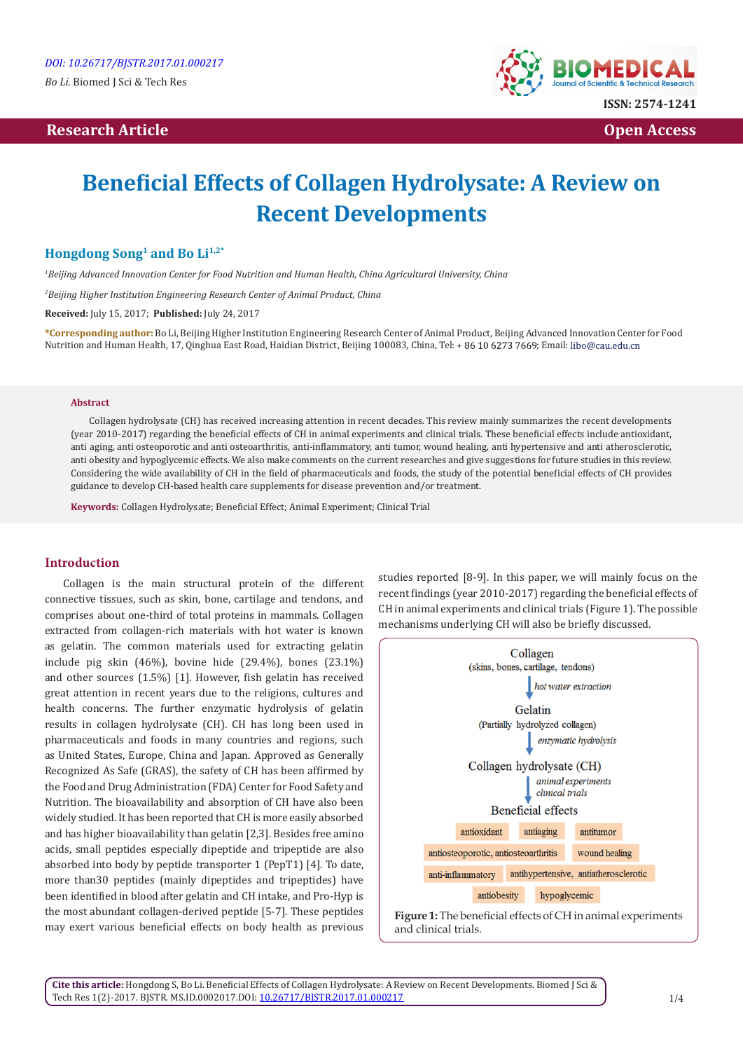# **Research Article Open Access**



# **Beneficial Effects of Collagen Hydrolysate: A Review on Recent Developments**

# **Hongdong Song<sup>1</sup> and Bo Li1,2\***

*1 Beijing Advanced Innovation Center for Food Nutrition and Human Health, China Agricultural University, China*

*2 Beijing Higher Institution Engineering Research Center of Animal Product, China*

**Received:** July 15, 2017; **Published:** July 24, 2017

**\*Corresponding author:** Bo Li, Beijing Higher Institution Engineering Research Center of Animal Product, Beijing Advanced Innovation Center for Food Nutrition and Human Health, 17, Qinghua East Road, Haidian District, Beijing 100083, China, Tel: + 86 10 6273 7669; Email: libo@cau.edu.cn

### **Abstract**

Collagen hydrolysate (CH) has received increasing attention in recent decades. This review mainly summarizes the recent developments (year 2010-2017) regarding the beneficial effects of CH in animal experiments and clinical trials. These beneficial effects include antioxidant, anti aging, anti osteoporotic and anti osteoarthritis, anti-inflammatory, anti tumor, wound healing, anti hypertensive and anti atherosclerotic, anti obesity and hypoglycemic effects. We also make comments on the current researches and give suggestions for future studies in this review. Considering the wide availability of CH in the field of pharmaceuticals and foods, the study of the potential beneficial effects of CH provides guidance to develop CH-based health care supplements for disease prevention and/or treatment.

**Keywords:** Collagen Hydrolysate; Beneficial Effect; Animal Experiment; Clinical Trial

## **Introduction**

Collagen is the main structural protein of the different connective tissues, such as skin, bone, cartilage and tendons, and comprises about one-third of total proteins in mammals. Collagen extracted from collagen-rich materials with hot water is known as gelatin. The common materials used for extracting gelatin include pig skin (46%), bovine hide (29.4%), bones (23.1%) and other sources (1.5%) [1]. However, fish gelatin has received great attention in recent years due to the religions, cultures and health concerns. The further enzymatic hydrolysis of gelatin results in collagen hydrolysate (CH). CH has long been used in pharmaceuticals and foods in many countries and regions, such as United States, Europe, China and Japan. Approved as Generally Recognized As Safe (GRAS), the safety of CH has been affirmed by the Food and Drug Administration (FDA) Center for Food Safety and Nutrition. The bioavailability and absorption of CH have also been widely studied. It has been reported that CH is more easily absorbed and has higher bioavailability than gelatin [2,3]. Besides free amino acids, small peptides especially dipeptide and tripeptide are also absorbed into body by peptide transporter 1 (PepT1) [4]. To date, more than30 peptides (mainly dipeptides and tripeptides) have been identified in blood after gelatin and CH intake, and Pro-Hyp is the most abundant collagen-derived peptide [5-7]. These peptides may exert various beneficial effects on body health as previous studies reported [8-9]. In this paper, we will mainly focus on the recent findings (year 2010-2017) regarding the beneficial effects of CH in animal experiments and clinical trials (Figure 1). The possible mechanisms underlying CH will also be briefly discussed.



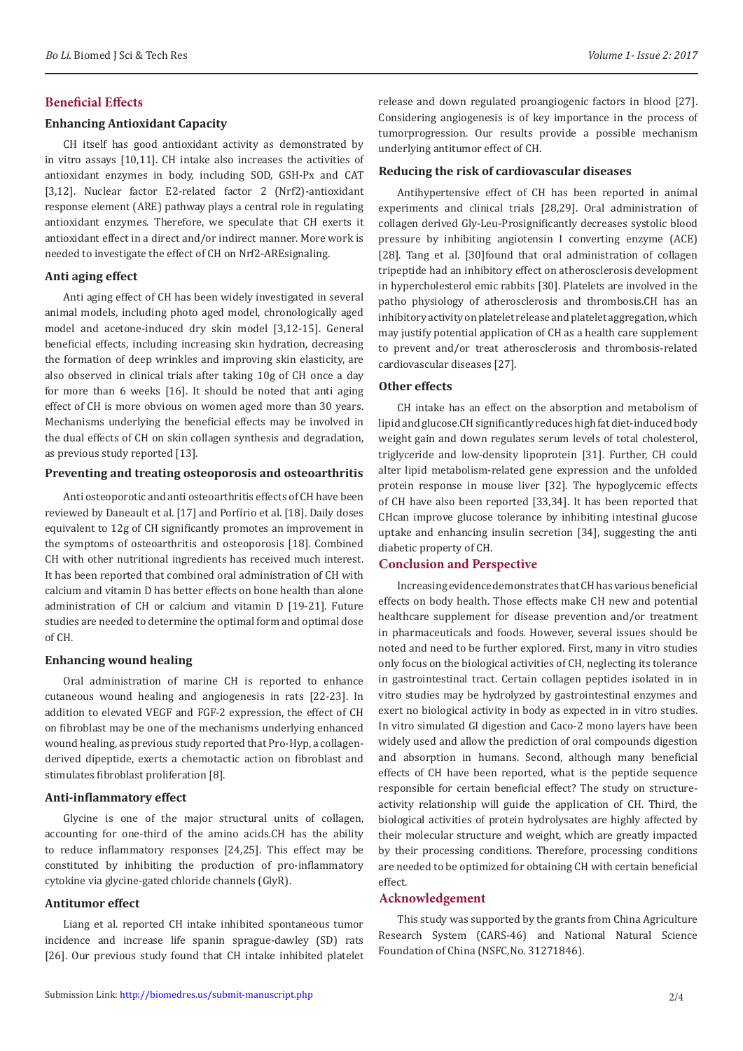# **Beneficial Effects**

# **Enhancing Antioxidant Capacity**

CH itself has good antioxidant activity as demonstrated by in vitro assays [10,11]. CH intake also increases the activities of antioxidant enzymes in body, including SOD, GSH-Px and CAT [3,12]. Nuclear factor E2-related factor 2 (Nrf2)-antioxidant response element (ARE) pathway plays a central role in regulating antioxidant enzymes. Therefore, we speculate that CH exerts it antioxidant effect in a direct and/or indirect manner. More work is needed to investigate the effect of CH on Nrf2-AREsignaling.

### **Anti aging effect**

Anti aging effect of CH has been widely investigated in several animal models, including photo aged model, chronologically aged model and acetone-induced dry skin model [3,12-15]. General beneficial effects, including increasing skin hydration, decreasing the formation of deep wrinkles and improving skin elasticity, are also observed in clinical trials after taking 10g of CH once a day for more than 6 weeks [16]. It should be noted that anti aging effect of CH is more obvious on women aged more than 30 years. Mechanisms underlying the beneficial effects may be involved in the dual effects of CH on skin collagen synthesis and degradation, as previous study reported [13].

# **Preventing and treating osteoporosis and osteoarthritis**

Anti osteoporotic and anti osteoarthritis effects of CH have been reviewed by Daneault et al. [17] and Porfírio et al. [18]. Daily doses equivalent to 12g of CH significantly promotes an improvement in the symptoms of osteoarthritis and osteoporosis [18]. Combined CH with other nutritional ingredients has received much interest. It has been reported that combined oral administration of CH with calcium and vitamin D has better effects on bone health than alone administration of CH or calcium and vitamin D [19-21]. Future studies are needed to determine the optimal form and optimal dose of CH.

## **Enhancing wound healing**

Oral administration of marine CH is reported to enhance cutaneous wound healing and angiogenesis in rats [22-23]. In addition to elevated VEGF and FGF-2 expression, the effect of CH on fibroblast may be one of the mechanisms underlying enhanced wound healing, as previous study reported that Pro-Hyp, a collagenderived dipeptide, exerts a chemotactic action on fibroblast and stimulates fibroblast proliferation [8].

#### **Anti-inflammatory effect**

Glycine is one of the major structural units of collagen, accounting for one-third of the amino acids.CH has the ability to reduce inflammatory responses [24,25]. This effect may be constituted by inhibiting the production of pro-inflammatory cytokine via glycine-gated chloride channels (GlyR).

### **Antitumor effect**

Liang et al. reported CH intake inhibited spontaneous tumor incidence and increase life spanin sprague-dawley (SD) rats [26]. Our previous study found that CH intake inhibited platelet

release and down regulated proangiogenic factors in blood [27]. Considering angiogenesis is of key importance in the process of tumorprogression. Our results provide a possible mechanism underlying antitumor effect of CH.

### **Reducing the risk of cardiovascular diseases**

Antihypertensive effect of CH has been reported in animal experiments and clinical trials [28,29]. Oral administration of collagen derived Gly-Leu-Prosignificantly decreases systolic blood pressure by inhibiting angiotensin I converting enzyme (ACE) [28]. Tang et al. [30] found that oral administration of collagen tripeptide had an inhibitory effect on atherosclerosis development in hypercholesterol emic rabbits [30]. Platelets are involved in the patho physiology of atherosclerosis and thrombosis.CH has an inhibitory activity on platelet release and platelet aggregation, which may justify potential application of CH as a health care supplement to prevent and/or treat atherosclerosis and thrombosis-related cardiovascular diseases [27].

# **Other effects**

CH intake has an effect on the absorption and metabolism of lipid and glucose.CH significantly reduces high fat diet-induced body weight gain and down regulates serum levels of total cholesterol, triglyceride and low-density lipoprotein [31]. Further, CH could alter lipid metabolism-related gene expression and the unfolded protein response in mouse liver [32]. The hypoglycemic effects of CH have also been reported [33,34]. It has been reported that CHcan improve glucose tolerance by inhibiting intestinal glucose uptake and enhancing insulin secretion [34], suggesting the anti diabetic property of CH.

# **Conclusion and Perspective**

Increasing evidence demonstrates that CH has various beneficial effects on body health. Those effects make CH new and potential healthcare supplement for disease prevention and/or treatment in pharmaceuticals and foods. However, several issues should be noted and need to be further explored. First, many in vitro studies only focus on the biological activities of CH, neglecting its tolerance in gastrointestinal tract. Certain collagen peptides isolated in in vitro studies may be hydrolyzed by gastrointestinal enzymes and exert no biological activity in body as expected in in vitro studies. In vitro simulated GI digestion and Caco-2 mono layers have been widely used and allow the prediction of oral compounds digestion and absorption in humans. Second, although many beneficial effects of CH have been reported, what is the peptide sequence responsible for certain beneficial effect? The study on structureactivity relationship will guide the application of CH. Third, the biological activities of protein hydrolysates are highly affected by their molecular structure and weight, which are greatly impacted by their processing conditions. Therefore, processing conditions are needed to be optimized for obtaining CH with certain beneficial effect.

### **Acknowledgement**

This study was supported by the grants from China Agriculture Research System (CARS-46) and National Natural Science Foundation of China (NSFC,No. 31271846).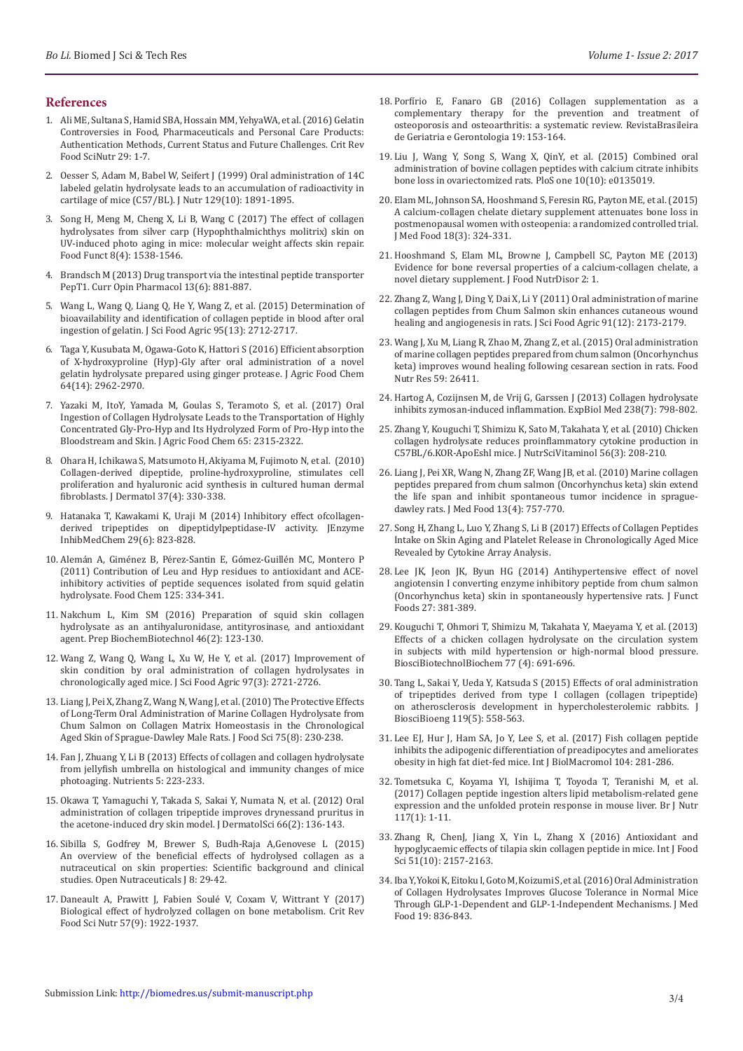# **References**

- 1. [Ali ME, Sultana S, Hamid SBA, Hossain MM, YehyaWA, et al. \(2016\) Gelatin](https://www.ncbi.nlm.nih.gov/pubmed/28033035) [Controversies in Food, Pharmaceuticals and Personal Care Products:](https://www.ncbi.nlm.nih.gov/pubmed/28033035) [Authentication Methods, Current Status and Future Challenges. Crit Rev](https://www.ncbi.nlm.nih.gov/pubmed/28033035) [Food SciNutr 29: 1-7.](https://www.ncbi.nlm.nih.gov/pubmed/28033035)
- 2. [Oesser S, Adam M, Babel W, Seifert J \(1999\) Oral administration of 14C](https://www.ncbi.nlm.nih.gov/pubmed/10498764) [labeled gelatin hydrolysate leads to an accumulation of radioactivity in](https://www.ncbi.nlm.nih.gov/pubmed/10498764) [cartilage of mice \(C57/BL\). J Nutr 129\(10\): 1891-1895.](https://www.ncbi.nlm.nih.gov/pubmed/10498764)
- 3. [Song H, Meng M, Cheng X, Li B, Wang C \(2017\) The effect of collagen](https://www.ncbi.nlm.nih.gov/pubmed/28266663) [hydrolysates from silver carp \(Hypophthalmichthys molitrix\) skin on](https://www.ncbi.nlm.nih.gov/pubmed/28266663) [UV-induced photo aging in mice: molecular weight affects skin repair.](https://www.ncbi.nlm.nih.gov/pubmed/28266663) [Food Funct 8\(4\): 1538-1546.](https://www.ncbi.nlm.nih.gov/pubmed/28266663)
- 4. [Brandsch M \(2013\) Drug transport via the intestinal peptide transporter](https://www.ncbi.nlm.nih.gov/pubmed/24007794) [PepT1. Curr Opin Pharmacol 13\(6\): 881-887.](https://www.ncbi.nlm.nih.gov/pubmed/24007794)
- 5. [Wang L, Wang Q, Liang Q, He Y, Wang Z, et al. \(2015\) Determination of](https://www.ncbi.nlm.nih.gov/pubmed/25410396) [bioavailability and identification of collagen peptide in blood after oral](https://www.ncbi.nlm.nih.gov/pubmed/25410396) [ingestion of gelatin. J Sci Food Agric 95\(13\): 2712-2717.](https://www.ncbi.nlm.nih.gov/pubmed/25410396)
- 6. [Taga Y, Kusubata M, Ogawa-Goto K, Hattori S \(2016\) Efficient absorption](https://www.ncbi.nlm.nih.gov/pubmed/26978646) [of X-hydroxyproline \(Hyp\)-Gly after oral administration of a novel](https://www.ncbi.nlm.nih.gov/pubmed/26978646) [gelatin hydrolysate prepared using ginger protease. J Agric Food Chem](https://www.ncbi.nlm.nih.gov/pubmed/26978646) [64\(14\): 2962-2970.](https://www.ncbi.nlm.nih.gov/pubmed/26978646)
- 7. [Yazaki M, ItoY, Yamada M, Goulas S, Teramoto S, et al. \(2017\) Oral](https://www.ncbi.nlm.nih.gov/pubmed/28244315) [Ingestion of Collagen Hydrolysate Leads to the Transportation of Highly](https://www.ncbi.nlm.nih.gov/pubmed/28244315) [Concentrated Gly-Pro-Hyp and Its Hydrolyzed Form of Pro-Hyp into the](https://www.ncbi.nlm.nih.gov/pubmed/28244315) [Bloodstream and Skin. J Agric Food Chem 65: 2315-2322.](https://www.ncbi.nlm.nih.gov/pubmed/28244315)
- 8. [Ohara H, Ichikawa S, Matsumoto H, Akiyama M, Fujimoto N, et al. \(2010\)](https://www.ncbi.nlm.nih.gov/pubmed/20507402) [Collagen-derived dipeptide, proline-hydroxyproline, stimulates cell](https://www.ncbi.nlm.nih.gov/pubmed/20507402) [proliferation and hyaluronic acid synthesis in cultured human dermal](https://www.ncbi.nlm.nih.gov/pubmed/20507402) [fibroblasts. J Dermatol 37\(4\): 330-338.](https://www.ncbi.nlm.nih.gov/pubmed/20507402)
- 9. [Hatanaka T, Kawakami K, Uraji M \(2014\) Inhibitory effect ofcollagen](https://www.ncbi.nlm.nih.gov/pubmed/24650211)[derived tripeptides on dipeptidylpeptidase-IV activity. JEnzyme](https://www.ncbi.nlm.nih.gov/pubmed/24650211) [InhibMedChem 29\(6\): 823-828.](https://www.ncbi.nlm.nih.gov/pubmed/24650211)
- 10. [Alemán A, Giménez B, Pérez-Santin E, Gómez-Guillén MC, Montero P](https://www.researchgate.net/publication/223665908_Contribution_of_Leu_and_Hyp_residues_to_antioxidant_and_ACE-inhibitory_activities_of_peptide_sequences_isolated_from_squid_gelatin_hydrolysate) [\(2011\) Contribution of Leu and Hyp residues to antioxidant and ACE](https://www.researchgate.net/publication/223665908_Contribution_of_Leu_and_Hyp_residues_to_antioxidant_and_ACE-inhibitory_activities_of_peptide_sequences_isolated_from_squid_gelatin_hydrolysate)[inhibitory activities of peptide sequences isolated from squid gelatin](https://www.researchgate.net/publication/223665908_Contribution_of_Leu_and_Hyp_residues_to_antioxidant_and_ACE-inhibitory_activities_of_peptide_sequences_isolated_from_squid_gelatin_hydrolysate) [hydrolysate. Food Chem 125: 334-341.](https://www.researchgate.net/publication/223665908_Contribution_of_Leu_and_Hyp_residues_to_antioxidant_and_ACE-inhibitory_activities_of_peptide_sequences_isolated_from_squid_gelatin_hydrolysate)
- 11. [Nakchum L, Kim SM \(2016\) Preparation of squid skin collagen](https://www.ncbi.nlm.nih.gov/pubmed/25568978) [hydrolysate as an antihyaluronidase, antityrosinase, and antioxidant](https://www.ncbi.nlm.nih.gov/pubmed/25568978) [agent. Prep BiochemBiotechnol 46\(2\): 123-130.](https://www.ncbi.nlm.nih.gov/pubmed/25568978)
- 12. [Wang Z, Wang Q, Wang L, Xu W, He Y, et al. \(2017\) Improvement of](https://www.ncbi.nlm.nih.gov/pubmed/27747904) [skin condition by oral administration of collagen hydrolysates in](https://www.ncbi.nlm.nih.gov/pubmed/27747904) [chronologically aged mice. J Sci Food Agric 97\(3\): 2721-2726.](https://www.ncbi.nlm.nih.gov/pubmed/27747904)
- 13. [Liang J, Pei X, Zhang Z, Wang N, Wang J, et al. \(2010\) The Protective Effects](https://www.ncbi.nlm.nih.gov/pubmed/21535500) [of Long-Term Oral Administration of Marine Collagen Hydrolysate from](https://www.ncbi.nlm.nih.gov/pubmed/21535500) [Chum Salmon on Collagen Matrix Homeostasis in the Chronological](https://www.ncbi.nlm.nih.gov/pubmed/21535500) [Aged Skin of Sprague-Dawley Male Rats. J Food Sci 75\(8\): 230-238.](https://www.ncbi.nlm.nih.gov/pubmed/21535500)
- 14. [Fan J, Zhuang Y, Li B \(2013\) Effects of collagen and collagen hydrolysate](https://www.ncbi.nlm.nih.gov/pubmed/23344251) [from jellyfish umbrella on histological and immunity changes of mice](https://www.ncbi.nlm.nih.gov/pubmed/23344251) [photoaging. Nutrients 5: 223-233.](https://www.ncbi.nlm.nih.gov/pubmed/23344251)
- 15. [Okawa T, Yamaguchi Y, Takada S, Sakai Y, Numata N, et al. \(2012\) Oral](https://www.ncbi.nlm.nih.gov/pubmed/22410290) [administration of collagen tripeptide improves drynessand pruritus in](https://www.ncbi.nlm.nih.gov/pubmed/22410290) [the acetone-induced dry skin model. J DermatolSci 66\(2\): 136-143.](https://www.ncbi.nlm.nih.gov/pubmed/22410290)
- 16. [Sibilla S, Godfrey M, Brewer S, Budh-Raja A,Genovese L \(2015\)](https://benthamopen.com/ABSTRACT/TONUTRAJ-8-29) [An overview of the beneficial effects of hydrolysed collagen as a](https://benthamopen.com/ABSTRACT/TONUTRAJ-8-29) [nutraceutical on skin properties: Scientific background and clinical](https://benthamopen.com/ABSTRACT/TONUTRAJ-8-29) [studies. Open Nutraceuticals J 8: 29-42.](https://benthamopen.com/ABSTRACT/TONUTRAJ-8-29)
- 17. [Daneault A, Prawitt J, Fabien Soulé V, Coxam V, Wittrant Y \(2017\)](https://www.ncbi.nlm.nih.gov/pubmed/25976422) [Biological effect of hydrolyzed collagen on bone metabolism. Crit Rev](https://www.ncbi.nlm.nih.gov/pubmed/25976422) [Food Sci Nutr 57\(9\): 1922-1937.](https://www.ncbi.nlm.nih.gov/pubmed/25976422)
- 18. [Porfírio E, Fanaro GB \(2016\) Collagen supplementation as a](http://www.scielo.br/scielo.php?script=sci_arttext&pid=S1809-98232016000100153)  [complementary therapy for the prevention and treatment of](http://www.scielo.br/scielo.php?script=sci_arttext&pid=S1809-98232016000100153)  [osteoporosis and osteoarthritis: a systematic review. RevistaBrasileira](http://www.scielo.br/scielo.php?script=sci_arttext&pid=S1809-98232016000100153)  [de Geriatria e Gerontologia 19: 153-164.](http://www.scielo.br/scielo.php?script=sci_arttext&pid=S1809-98232016000100153)
- 19. [Liu J, Wang Y, Song S, Wang X, QinY, et al. \(2015\) Combined oral](https://www.ncbi.nlm.nih.gov/pubmed/26258559)  [administration of bovine collagen peptides with calcium citrate inhibits](https://www.ncbi.nlm.nih.gov/pubmed/26258559)  [bone loss in ovariectomized rats. PloS one 10\(10\): e0135019.](https://www.ncbi.nlm.nih.gov/pubmed/26258559)
- 20. [Elam ML, Johnson SA, Hooshmand S, Feresin RG, Payton ME, et al. \(2015\)](https://www.ncbi.nlm.nih.gov/pubmed/25314004)  [A calcium-collagen chelate dietary supplement attenuates bone loss in](https://www.ncbi.nlm.nih.gov/pubmed/25314004)  [postmenopausal women with osteopenia: a randomized controlled trial.](https://www.ncbi.nlm.nih.gov/pubmed/25314004)  [J Med Food 18\(3\): 324-331.](https://www.ncbi.nlm.nih.gov/pubmed/25314004)
- 21. [Hooshmand S, Elam ML, Browne J, Campbell SC, Payton ME \(2013\)](https://www.researchgate.net/publication/269979356_Evidence_for_Bone_Reversal_Properties_of_a_Calcium-_Collagen_Chelate_a_Novel_Dietary_Supplement)  [Evidence for bone reversal properties of a calcium-collagen chelate, a](https://www.researchgate.net/publication/269979356_Evidence_for_Bone_Reversal_Properties_of_a_Calcium-_Collagen_Chelate_a_Novel_Dietary_Supplement)  [novel dietary supplement. J Food NutrDisor 2: 1.](https://www.researchgate.net/publication/269979356_Evidence_for_Bone_Reversal_Properties_of_a_Calcium-_Collagen_Chelate_a_Novel_Dietary_Supplement)
- 22. [Zhang Z, Wang J, Ding Y, Dai X, Li Y \(2011\) Oral administration of marine](https://www.ncbi.nlm.nih.gov/pubmed/21560132)  [collagen peptides from Chum Salmon skin enhances cutaneous wound](https://www.ncbi.nlm.nih.gov/pubmed/21560132)  [healing and angiogenesis in rats. J Sci Food Agric 91\(12\): 2173-2179.](https://www.ncbi.nlm.nih.gov/pubmed/21560132)
- 23. [Wang J, Xu M, Liang R, Zhao M, Zhang Z, et al. \(2015\) Oral administration](https://www.ncbi.nlm.nih.gov/pmc/articles/PMC4432022/)  [of marine collagen peptides prepared from chum salmon \(Oncorhynchus](https://www.ncbi.nlm.nih.gov/pmc/articles/PMC4432022/)  [keta\) improves wound healing following cesarean section in rats. Food](https://www.ncbi.nlm.nih.gov/pmc/articles/PMC4432022/)  [Nutr Res 59: 26411.](https://www.ncbi.nlm.nih.gov/pmc/articles/PMC4432022/)
- 24. [Hartog A, Cozijnsen M, de Vrij G, Garssen J \(2013\) Collagen hydrolysate](https://www.ncbi.nlm.nih.gov/pubmed/23788175)  [inhibits zymosan-induced inflammation. ExpBiol Med 238\(7\): 798-802.](https://www.ncbi.nlm.nih.gov/pubmed/23788175)
- 25. [Zhang Y, Kouguchi T, Shimizu K, Sato M, Takahata Y, et al. \(2010\) Chicken](https://www.ncbi.nlm.nih.gov/pubmed/20651463)  [collagen hydrolysate reduces proinflammatory cytokine production in](https://www.ncbi.nlm.nih.gov/pubmed/20651463)  [C57BL/6.KOR-ApoEshl mice. J NutrSciVitaminol 56\(3\): 208-210.](https://www.ncbi.nlm.nih.gov/pubmed/20651463)
- 26. [Liang J, Pei XR, Wang N, Zhang ZF, Wang JB, et al. \(2010\) Marine collagen](https://www.ncbi.nlm.nih.gov/pubmed/20553190)  [peptides prepared from chum salmon \(Oncorhynchus keta\) skin extend](https://www.ncbi.nlm.nih.gov/pubmed/20553190)  [the life span and inhibit spontaneous tumor incidence in sprague](https://www.ncbi.nlm.nih.gov/pubmed/20553190)[dawley rats. J Med Food 13\(4\): 757-770.](https://www.ncbi.nlm.nih.gov/pubmed/20553190)
- 27. Song H, Zhang L, Luo Y, Zhang S, Li B (2017) Effects of Collagen Peptides Intake on Skin Aging and Platelet Release in Chronologically Aged Mice Revealed by Cytokine Array Analysis.
- 28. Lee JK, Jeon JK, Byun HG (2014) Antihypertensive effect of novel angiotensin I converting enzyme inhibitory peptide from chum salmon (Oncorhynchus keta) skin in spontaneously hypertensive rats. J Funct Foods 27: 381-389.
- 29. [Kouguchi T, Ohmori T, Shimizu M, Takahata Y, Maeyama Y, et al. \(2013\)](https://www.ncbi.nlm.nih.gov/pubmed/23563560)  [Effects of a chicken collagen hydrolysate on the circulation system](https://www.ncbi.nlm.nih.gov/pubmed/23563560)  [in subjects with mild hypertension or high-normal blood pressure.](https://www.ncbi.nlm.nih.gov/pubmed/23563560)  [BiosciBiotechnolBiochem 77 \(4\): 691-696.](https://www.ncbi.nlm.nih.gov/pubmed/23563560)
- 30. [Tang L, Sakai Y, Ueda Y, Katsuda S \(2015\) Effects of oral administration](https://www.ncbi.nlm.nih.gov/pubmed/25468425)  [of tripeptides derived from type I collagen \(collagen tripeptide\)](https://www.ncbi.nlm.nih.gov/pubmed/25468425)  [on atherosclerosis development in hypercholesterolemic rabbits. J](https://www.ncbi.nlm.nih.gov/pubmed/25468425)  [BiosciBioeng 119\(5\): 558-563.](https://www.ncbi.nlm.nih.gov/pubmed/25468425)
- 31. [Lee EJ, Hur J, Ham SA, Jo Y, Lee S, et al. \(2017\) Fish collagen peptide](https://www.ncbi.nlm.nih.gov/pubmed/28602994)  [inhibits the adipogenic differentiation of preadipocytes and ameliorates](https://www.ncbi.nlm.nih.gov/pubmed/28602994)  [obesity in high fat diet-fed mice. Int J BiolMacromol 104: 281-286.](https://www.ncbi.nlm.nih.gov/pubmed/28602994)
- 32. [Tometsuka C, Koyama YI, Ishijima T, Toyoda T, Teranishi M, et al.](https://www.ncbi.nlm.nih.gov/labs/articles/28091360/)  [\(2017\) Collagen peptide ingestion alters lipid metabolism-related gene](https://www.ncbi.nlm.nih.gov/labs/articles/28091360/)  [expression and the unfolded protein response in mouse liver. Br J Nutr](https://www.ncbi.nlm.nih.gov/labs/articles/28091360/)  [117\(1\): 1-11.](https://www.ncbi.nlm.nih.gov/labs/articles/28091360/)
- 33. [Zhang R, ChenJ, Jiang X, Yin L, Zhang X \(2016\) Antioxidant and](http://onlinelibrary.wiley.com/doi/10.1111/ijfs.13193/abstract)  [hypoglycaemic effects of tilapia skin collagen peptide in mice. Int J Food](http://onlinelibrary.wiley.com/doi/10.1111/ijfs.13193/abstract)  [Sci 51\(10\): 2157-2163.](http://onlinelibrary.wiley.com/doi/10.1111/ijfs.13193/abstract)
- 34. [Iba Y, Yokoi K, Eitoku I, Goto M, Koizumi S, et al. \(2016\) Oral Administration](https://www.ncbi.nlm.nih.gov/pubmed/27540823)  [of Collagen Hydrolysates Improves Glucose Tolerance in Normal Mice](https://www.ncbi.nlm.nih.gov/pubmed/27540823)  [Through GLP-1-Dependent and GLP-1-Independent Mechanisms. J Med](https://www.ncbi.nlm.nih.gov/pubmed/27540823)  [Food 19: 836-843.](https://www.ncbi.nlm.nih.gov/pubmed/27540823)